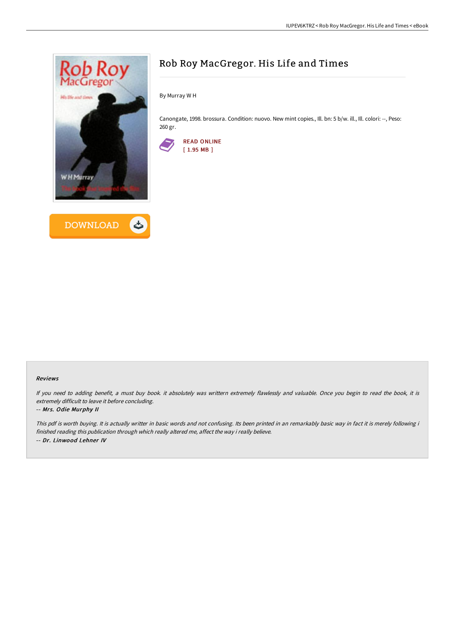



# Rob Roy MacGregor. His Life and Times

By Murray W H

Canongate, 1998. brossura. Condition: nuovo. New mint copies., Ill. bn: 5 b/w. ill., Ill. colori: --, Peso: 260 gr.



#### Reviews

If you need to adding benefit, <sup>a</sup> must buy book. it absolutely was writtern extremely flawlessly and valuable. Once you begin to read the book, it is extremely difficult to leave it before concluding.

#### -- Mrs. Odie Murphy II

This pdf is worth buying. It is actually writter in basic words and not confusing. Its been printed in an remarkably basic way in fact it is merely following i finished reading this publication through which really altered me, affect the way i really believe. -- Dr. Linwood Lehner IV